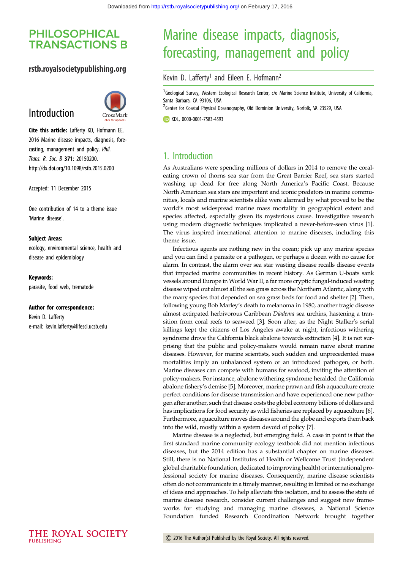## **PHILOSOPHICAL TRANSACTIONS B**

#### rstb.royalsocietypublishing.org

# Introduction



Cite this article: Lafferty KD, Hofmann EE. 2016 Marine disease impacts, diagnosis, forecasting, management and policy. Phil. Trans. R. Soc. B 371: 20150200. http://dx.doi.org/10.1098/rstb.2015.0200

Accepted: 11 December 2015

One contribution of 14 to a theme issue 'Marine disease'.

#### Subject Areas:

ecology, environmental science, health and disease and epidemiology

#### Keywords:

parasite, food web, trematode

#### Author for correspondence:

Kevin D. Lafferty e-mail: [kevin.lafferty@lifesci.ucsb.edu](mailto:kevin.lafferty@lifesci.ucsb.edu)

# Marine disease impacts, diagnosis, forecasting, management and policy

#### Kevin D. Lafferty<sup>1</sup> and Eileen E. Hofmann<sup>2</sup>

<sup>1</sup>Geological Survey, Western Ecological Research Center, c/o Marine Science Institute, University of California, Santa Barbara, CA 93106, USA

<sup>2</sup> Center for Coastal Physical Oceanography, Old Dominion University, Norfolk, VA 23529, USA

**TD** KDL, [0000-0001-7583-4593](http://orcid.org/0000-0001-7583-4593)

### 1. Introduction

As Australians were spending millions of dollars in 2014 to remove the coraleating crown of thorns sea star from the Great Barrier Reef, sea stars started washing up dead for free along North America's Pacific Coast. Because North American sea stars are important and iconic predators in marine communities, locals and marine scientists alike were alarmed by what proved to be the world's most widespread marine mass mortality in geographical extent and species affected, especially given its mysterious cause. Investigative research using modern diagnostic techniques implicated a never-before-seen virus [\[1\]](#page-2-0). The virus inspired international attention to marine diseases, including this theme issue.

Infectious agents are nothing new in the ocean; pick up any marine species and you can find a parasite or a pathogen, or perhaps a dozen with no cause for alarm. In contrast, the alarm over sea star wasting disease recalls disease events that impacted marine communities in recent history. As German U-boats sank vessels around Europe in World War II, a far more cryptic fungal-induced wasting disease wiped out almost all the sea grass across the Northern Atlantic, along with the many species that depended on sea grass beds for food and shelter [\[2\]](#page-2-0). Then, following young Bob Marley's death to melanoma in 1980, another tragic disease almost extirpated herbivorous Caribbean Diadema sea urchins, hastening a transition from coral reefs to seaweed [\[3](#page-2-0)]. Soon after, as the Night Stalker's serial killings kept the citizens of Los Angeles awake at night, infectious withering syndrome drove the California black abalone towards extinction [[4](#page-2-0)]. It is not surprising that the public and policy-makers would remain naive about marine diseases. However, for marine scientists, such sudden and unprecedented mass mortalities imply an unbalanced system or an introduced pathogen, or both. Marine diseases can compete with humans for seafood, inviting the attention of policy-makers. For instance, abalone withering syndrome heralded the California abalone fishery's demise [\[5](#page-2-0)]. Moreover, marine prawn and fish aquaculture create perfect conditions for disease transmission and have experienced one new pathogen after another, such that disease costs the global economy billions of dollars and has implications for food security as wild fisheries are replaced by aquaculture [\[6\]](#page-2-0). Furthermore, aquaculture moves diseases around the globe and exports them back into the wild, mostly within a system devoid of policy [[7](#page-2-0)].

Marine disease is a neglected, but emerging field. A case in point is that the first standard marine community ecology textbook did not mention infectious diseases, but the 2014 edition has a substantial chapter on marine diseases. Still, there is no National Institutes of Health or Wellcome Trust (independent global charitable foundation, dedicated to improving health) or international professional society for marine diseases. Consequently, marine disease scientists often do not communicate in a timely manner, resulting in limited or no exchange of ideas and approaches. To help alleviate this isolation, and to assess the state of marine disease research, consider current challenges and suggest new frameworks for studying and managing marine diseases, a National Science Foundation funded Research Coordination Network brought together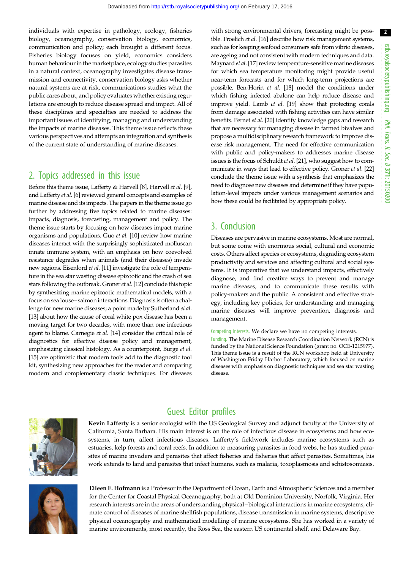individuals with expertise in pathology, ecology, fisheries biology, oceanography, conservation biology, economics, communication and policy; each brought a different focus. Fisheries biology focuses on yield, economics considers human behaviour in the marketplace, ecology studies parasites in a natural context, oceanography investigates disease transmission and connectivity, conservation biology asks whether natural systems are at risk, communications studies what the public cares about, and policy evaluates whether existing regulations are enough to reduce disease spread and impact. All of these disciplines and specialties are needed to address the important issues of identifying, managing and understanding the impacts of marine diseases. This theme issue reflects these various perspectives and attempts an integration and synthesis of the current state of understanding of marine diseases.

## 2. Topics addressed in this issue

Before this theme issue, Lafferty & Harvell [[8](#page-2-0)], Harvell et al. [\[9](#page-2-0)], and Lafferty et al. [\[6\]](#page-2-0) reviewed general concepts and examples of marine disease and its impacts. The papers in the theme issue go further by addressing five topics related to marine diseases: impacts, diagnosis, forecasting, management and policy. The theme issue starts by focusing on how diseases impact marine organisms and populations. Guo et al. [\[10\]](#page-2-0) review how marine diseases interact with the surprisingly sophisticated molluscan innate immune system, with an emphasis on how coevolved resistance degrades when animals (and their diseases) invade new regions. Eisenlord et al. [[11](#page-2-0)] investigate the role of temperature in the sea star wasting disease epizootic and the crash of sea stars following the outbreak. Groner et al. [\[12\]](#page-2-0) conclude this topic by synthesizing marine epizootic mathematical models, with a focus on sea louse–salmon interactions. Diagnosis is often a challenge for new marine diseases; a point made by Sutherland et al. [\[13\]](#page-2-0) about how the cause of coral white pox disease has been a moving target for two decades, with more than one infectious agent to blame. Carnegie et al. [[14\]](#page-2-0) consider the critical role of diagnostics for effective disease policy and management, emphasizing classical histology. As a counterpoint, Burge et al. [\[15\]](#page-2-0) are optimistic that modern tools add to the diagnostic tool kit, synthesizing new approaches for the reader and comparing modern and complementary classic techniques. For diseases

with strong environmental drivers, forecasting might be poss-ible. Froelich et al. [[16\]](#page-2-0) describe how risk management systems, such as for keeping seafood consumers safe from vibrio diseases, are ageing and not consistent with modern techniques and data. Maynard et al. [\[17\]](#page-2-0) review temperature-sensitive marine diseases for which sea temperature monitoring might provide useful near-term forecasts and for which long-term projections are possible. Ben-Horin et al. [\[18\]](#page-2-0) model the conditions under which fishing infected abalone can help reduce disease and improve yield. Lamb et al. [[19\]](#page-2-0) show that protecting corals from damage associated with fishing activities can have similar benefits. Pernet et al. [\[20\]](#page-2-0) identify knowledge gaps and research that are necessary for managing disease in farmed bivalves and propose a multidisciplinary research framework to improve disease risk management. The need for effective communication with public and policy-makers to addresses marine disease issues is the focus of Schuldt et al. [[21](#page-2-0)], who suggest how to communicate in ways that lead to effective policy. Groner et al. [\[22\]](#page-2-0) conclude the theme issue with a synthesis that emphasizes the need to diagnose new diseases and determine if they have population-level impacts under various management scenarios and how these could be facilitated by appropriate policy.

## 3. Conclusion

Diseases are pervasive in marine ecosystems. Most are normal, but some come with enormous social, cultural and economic costs. Others affect species or ecosystems, degrading ecosystem productivity and services and affecting cultural and social systems. It is imperative that we understand impacts, effectively diagnose, and find creative ways to prevent and manage marine diseases, and to communicate these results with policy-makers and the public. A consistent and effective strategy, including key policies, for understanding and managing marine diseases will improve prevention, diagnosis and management.

Competing interests. We declare we have no competing interests.

Funding. The Marine Disease Research Coordination Network (RCN) is funded by the National Science Foundation (grant no. OCE-1215977). This theme issue is a result of the RCN workshop held at University of Washington Friday Harbor Laboratory, which focused on marine diseases with emphasis on diagnostic techniques and sea star wasting disease.



## Guest Editor profiles

Kevin Lafferty is a senior ecologist with the US Geological Survey and adjunct faculty at the University of California, Santa Barbara. His main interest is on the role of infectious disease in ecosystems and how ecosystems, in turn, affect infectious diseases. Lafferty's fieldwork includes marine ecosystems such as estuaries, kelp forests and coral reefs. In addition to measuring parasites in food webs, he has studied parasites of marine invaders and parasites that affect fisheries and fisheries that affect parasites. Sometimes, his work extends to land and parasites that infect humans, such as malaria, toxoplasmosis and schistosomiasis.



Eileen E. Hofmann is a Professor in the Department of Ocean, Earth and Atmospheric Sciences and a member for the Center for Coastal Physical Oceanography, both at Old Dominion University, Norfolk, Virginia. Her research interests are in the areas of understanding physical –biological interactions in marine ecosystems, climate control of diseases of marine shellfish populations, disease transmission in marine systems, descriptive physical oceanography and mathematical modelling of marine ecosystems. She has worked in a variety of marine environments, most recently, the Ross Sea, the eastern US continental shelf, and Delaware Bay.